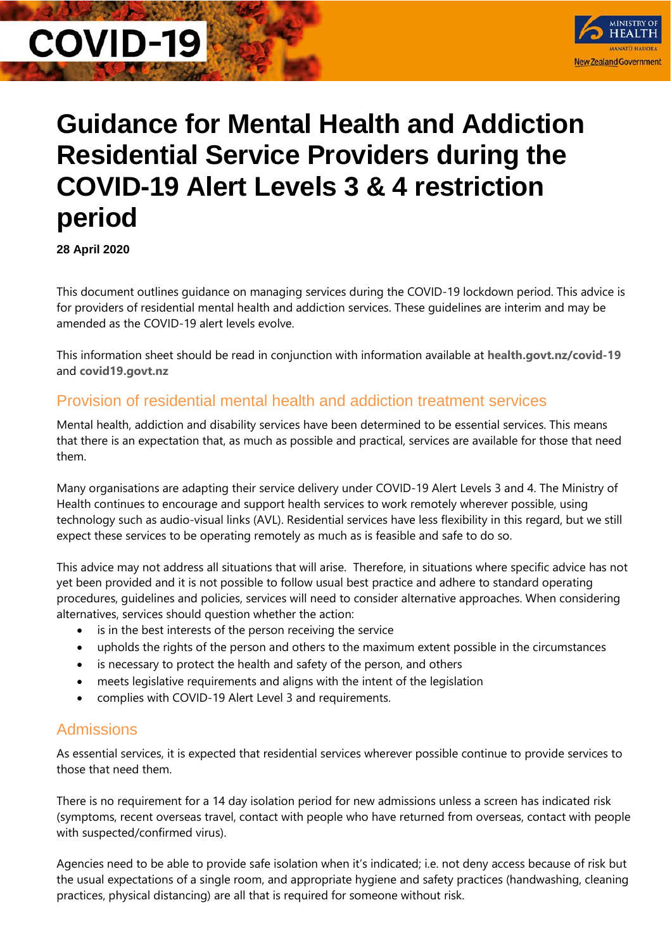# **COVID-19**



# **Guidance for Mental Health and Addiction Residential Service Providers during the COVID-19 Alert Levels 3 & 4 restriction period**

**28 April 2020**

This document outlines guidance on managing services during the COVID-19 lockdown period. This advice is for providers of residential mental health and addiction services. These guidelines are interim and may be amended as the COVID-19 alert levels evolve.

This information sheet should be read in conjunction with information available at **[health.govt.nz/covid-19](https://www.health.govt.nz/covid-19)** and **[covid19.govt.nz](https://www.covid19.govt.nz/)**

# Provision of residential mental health and addiction treatment services

Mental health, addiction and disability services have been determined to be essential services. This means that there is an expectation that, as much as possible and practical, services are available for those that need them.

Many organisations are adapting their service delivery under COVID-19 Alert Levels 3 and 4. The Ministry of Health continues to encourage and support health services to work remotely wherever possible, using technology such as audio-visual links (AVL). Residential services have less flexibility in this regard, but we still expect these services to be operating remotely as much as is feasible and safe to do so.

This advice may not address all situations that will arise. Therefore, in situations where specific advice has not yet been provided and it is not possible to follow usual best practice and adhere to standard operating procedures, guidelines and policies, services will need to consider alternative approaches. When considering alternatives, services should question whether the action:

- is in the best interests of the person receiving the service
- upholds the rights of the person and others to the maximum extent possible in the circumstances
- is necessary to protect the health and safety of the person, and others
- meets legislative requirements and aligns with the intent of the legislation
- complies with COVID-19 Alert Level 3 and requirements.

# Admissions

As essential services, it is expected that residential services wherever possible continue to provide services to those that need them.

There is no requirement for a 14 day isolation period for new admissions unless a screen has indicated risk (symptoms, recent overseas travel, contact with people who have returned from overseas, contact with people with suspected/confirmed virus).

Agencies need to be able to provide safe isolation when it's indicated; i.e. not deny access because of risk but the usual expectations of a single room, and appropriate hygiene and safety practices (handwashing, cleaning practices, physical distancing) are all that is required for someone without risk.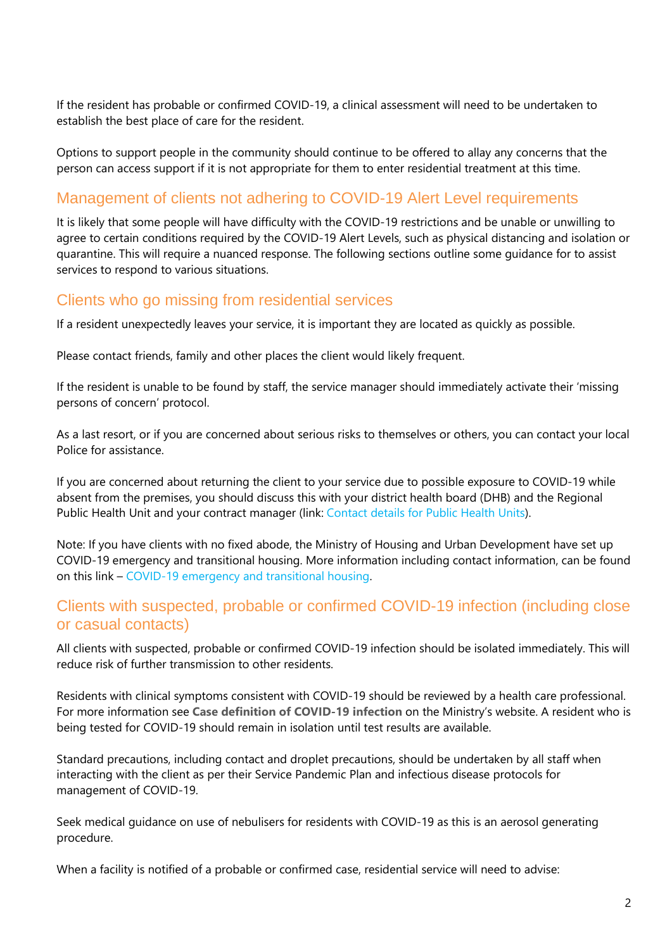If the resident has probable or confirmed COVID-19, a clinical assessment will need to be undertaken to establish the best place of care for the resident.

Options to support people in the community should continue to be offered to allay any concerns that the person can access support if it is not appropriate for them to enter residential treatment at this time.

# Management of clients not adhering to COVID-19 Alert Level requirements

It is likely that some people will have difficulty with the COVID-19 restrictions and be unable or unwilling to agree to certain conditions required by the COVID-19 Alert Levels, such as physical distancing and isolation or quarantine. This will require a nuanced response. The following sections outline some guidance for to assist services to respond to various situations.

## Clients who go missing from residential services

If a resident unexpectedly leaves your service, it is important they are located as quickly as possible.

Please contact friends, family and other places the client would likely frequent.

If the resident is unable to be found by staff, the service manager should immediately activate their 'missing persons of concern' protocol.

As a last resort, or if you are concerned about serious risks to themselves or others, you can contact your local Police for assistance.

If you are concerned about returning the client to your service due to possible exposure to COVID-19 while absent from the premises, you should discuss this with your district health board (DHB) and the Regional Public Health Unit and your contract manager (link: [Contact details for Public Health Units\)](https://www.health.govt.nz/new-zealand-health-system/key-health-sector-organisations-and-people/public-health-units/public-health-unit-contacts).

Note: If you have clients with no fixed abode, the Ministry of Housing and Urban Development have set up COVID-19 emergency and transitional housing. More information including contact information, can be found on this link – [COVID-19 emergency and transitional housing.](https://www.hud.govt.nz/community-and-public-housing/covid-19-emergency-and-transitional-housing)

## Clients with suspected, probable or confirmed COVID-19 infection (including close or casual contacts)

All clients with suspected, probable or confirmed COVID-19 infection should be isolated immediately. This will reduce risk of further transmission to other residents.

Residents with clinical symptoms consistent with COVID-19 should be reviewed by a health care professional. For more information see **[Case definition of COVID-19 infection](https://www.health.govt.nz/our-work/diseases-and-conditions/covid-19-novel-coronavirus/covid-19-resources-health-professionals/case-definition-covid-19-infection)** on the Ministry's website. A resident who is being tested for COVID-19 should remain in isolation until test results are available.

Standard precautions, including contact and droplet precautions, should be undertaken by all staff when interacting with the client as per their Service Pandemic Plan and infectious disease protocols for management of COVID-19.

Seek medical guidance on use of nebulisers for residents with COVID-19 as this is an aerosol generating procedure.

When a facility is notified of a probable or confirmed case, residential service will need to advise: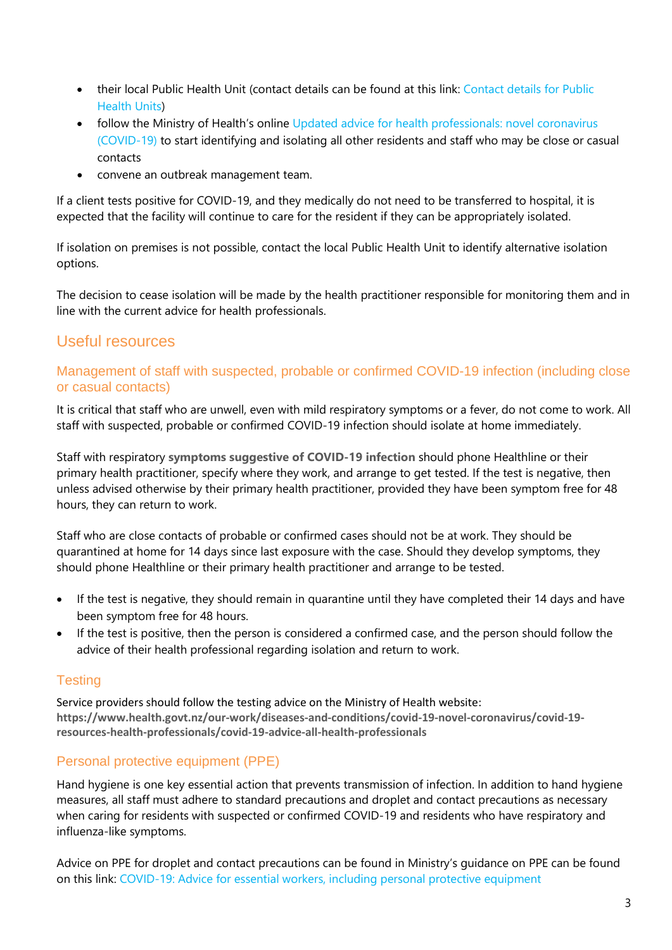- their local Public Health Unit (contact details can be found at this link: [Contact details for Public](https://www.health.govt.nz/new-zealand-health-system/key-health-sector-organisations-and-people/public-health-units/public-health-unit-contacts)  [Health Units\)](https://www.health.govt.nz/new-zealand-health-system/key-health-sector-organisations-and-people/public-health-units/public-health-unit-contacts)
- follow the Ministry of Health's online Updated advice for health professionals: novel coronavirus [\(COVID-19\)](https://www.health.govt.nz/our-work/diseases-and-conditions/covid-19-novel-coronavirus/covid-19-novel-coronavirus-information-specific-audiences/covid-19-novel-coronavirus-resources-health-professionals#healthprof) to start identifying and isolating all other residents and staff who may be close or casual contacts
- convene an outbreak management team.

If a client tests positive for COVID-19, and they medically do not need to be transferred to hospital, it is expected that the facility will continue to care for the resident if they can be appropriately isolated.

If isolation on premises is not possible, contact the local Public Health Unit to identify alternative isolation options.

The decision to cease isolation will be made by the health practitioner responsible for monitoring them and in line with the current advice for health professionals.

# Useful resources

#### Management of staff with suspected, probable or confirmed COVID-19 infection (including close or casual contacts)

It is critical that staff who are unwell, even with mild respiratory symptoms or a fever, do not come to work. All staff with suspected, probable or confirmed COVID-19 infection should isolate at home immediately.

Staff with respiratory **[symptoms suggestive of COVID-19 infection](https://www.health.govt.nz/our-work/diseases-and-conditions/covid-19-novel-coronavirus/covid-19-resources-health-professionals/case-definition-covid-19-infection)** should phone Healthline or their primary health practitioner, specify where they work, and arrange to get tested. If the test is negative, then unless advised otherwise by their primary health practitioner, provided they have been symptom free for 48 hours, they can return to work.

Staff who are close contacts of probable or confirmed cases should not be at work. They should be quarantined at home for 14 days since last exposure with the case. Should they develop symptoms, they should phone Healthline or their primary health practitioner and arrange to be tested.

- If the test is negative, they should remain in quarantine until they have completed their 14 days and have been symptom free for 48 hours.
- If the test is positive, then the person is considered a confirmed case, and the person should follow the advice of their health professional regarding isolation and return to work.

#### **Testing**

Service providers should follow the testing advice on the Ministry of Health website: **[https://www.health.govt.nz/our-work/diseases-and-conditions/covid-19-novel-coronavirus/covid-19](https://www.health.govt.nz/our-work/diseases-and-conditions/covid-19-novel-coronavirus/covid-19-resources-health-professionals/covid-19-advice-all-health-professionals) [resources-health-professionals/covid-19-advice-all-health-professionals](https://www.health.govt.nz/our-work/diseases-and-conditions/covid-19-novel-coronavirus/covid-19-resources-health-professionals/covid-19-advice-all-health-professionals)**

#### Personal protective equipment (PPE)

Hand hygiene is one key essential action that prevents transmission of infection. In addition to hand hygiene measures, all staff must adhere to standard precautions and droplet and contact precautions as necessary when caring for residents with suspected or confirmed COVID-19 and residents who have respiratory and influenza-like symptoms.

Advice on PPE for droplet and contact precautions can be found in Ministry's guidance on PPE can be found on this link: [COVID-19: Advice for essential workers, including personal protective equipment](https://www.health.govt.nz/our-work/diseases-and-conditions/covid-19-novel-coronavirus/covid-19-novel-coronavirus-information-specific-audiences/covid-19-advice-essential-workers-including-personal-protective-equipment)